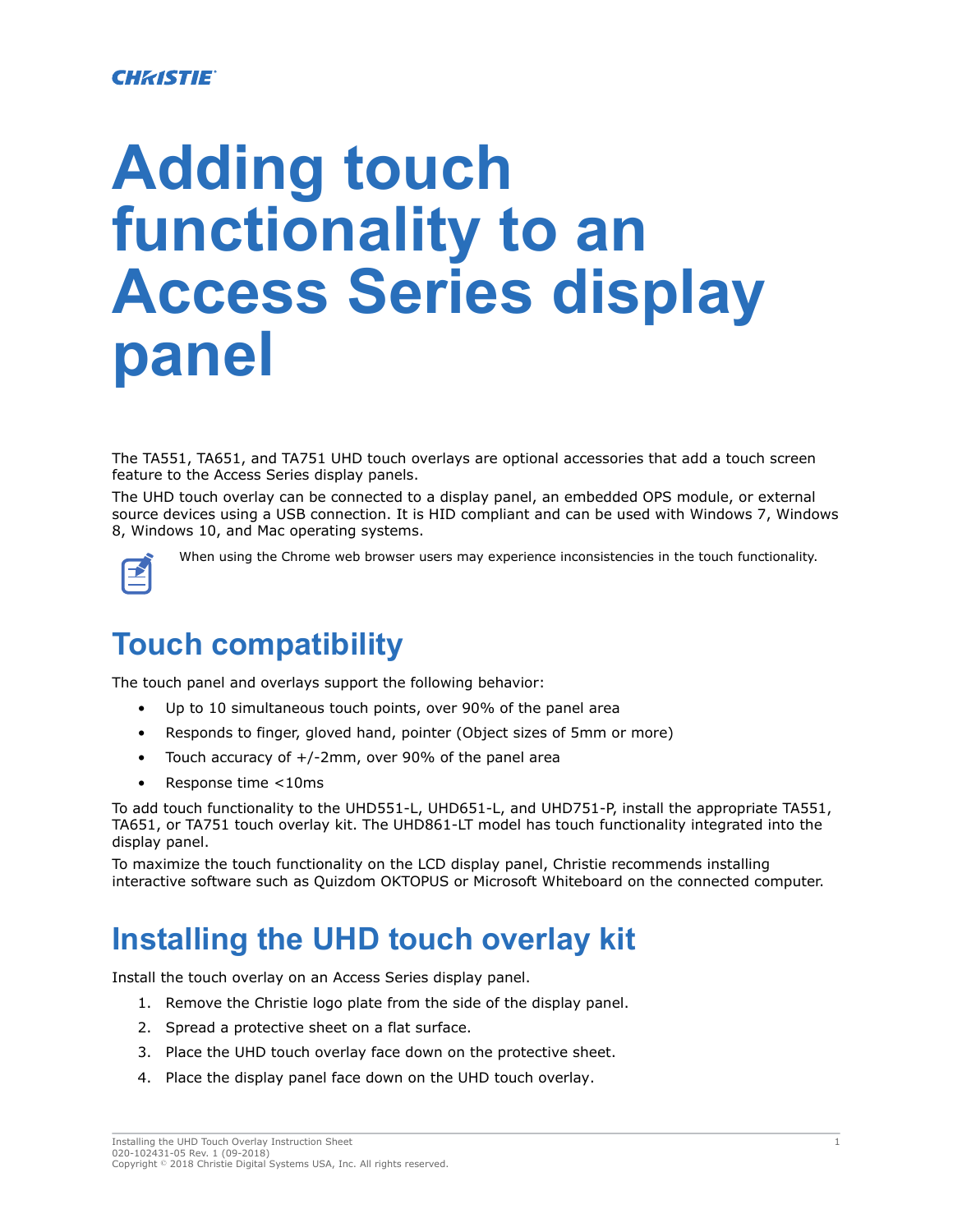#### **CHRISTIE®**

# **Adding touch functionality to an Access Series display panel**

The TA551, TA651, and TA751 UHD touch overlays are optional accessories that add a touch screen feature to the Access Series display panels.

The UHD touch overlay can be connected to a display panel, an embedded OPS module, or external source devices using a USB connection. It is HID compliant and can be used with Windows 7, Windows 8, Windows 10, and Mac operating systems.



When using the Chrome web browser users may experience inconsistencies in the touch functionality.

## **Touch compatibility**

The touch panel and overlays support the following behavior:

- Up to 10 simultaneous touch points, over 90% of the panel area
- Responds to finger, gloved hand, pointer (Object sizes of 5mm or more)
- Touch accuracy of +/-2mm, over 90% of the panel area
- Response time <10ms

To add touch functionality to the UHD551-L, UHD651-L, and UHD751-P, install the appropriate TA551, TA651, or TA751 touch overlay kit. The UHD861-LT model has touch functionality integrated into the display panel.

To maximize the touch functionality on the LCD display panel, Christie recommends installing interactive software such as Quizdom OKTOPUS or Microsoft Whiteboard on the connected computer.

## **Installing the UHD touch overlay kit**

Install the touch overlay on an Access Series display panel.

- 1. Remove the Christie logo plate from the side of the display panel.
- 2. Spread a protective sheet on a flat surface.
- 3. Place the UHD touch overlay face down on the protective sheet.
- 4. Place the display panel face down on the UHD touch overlay.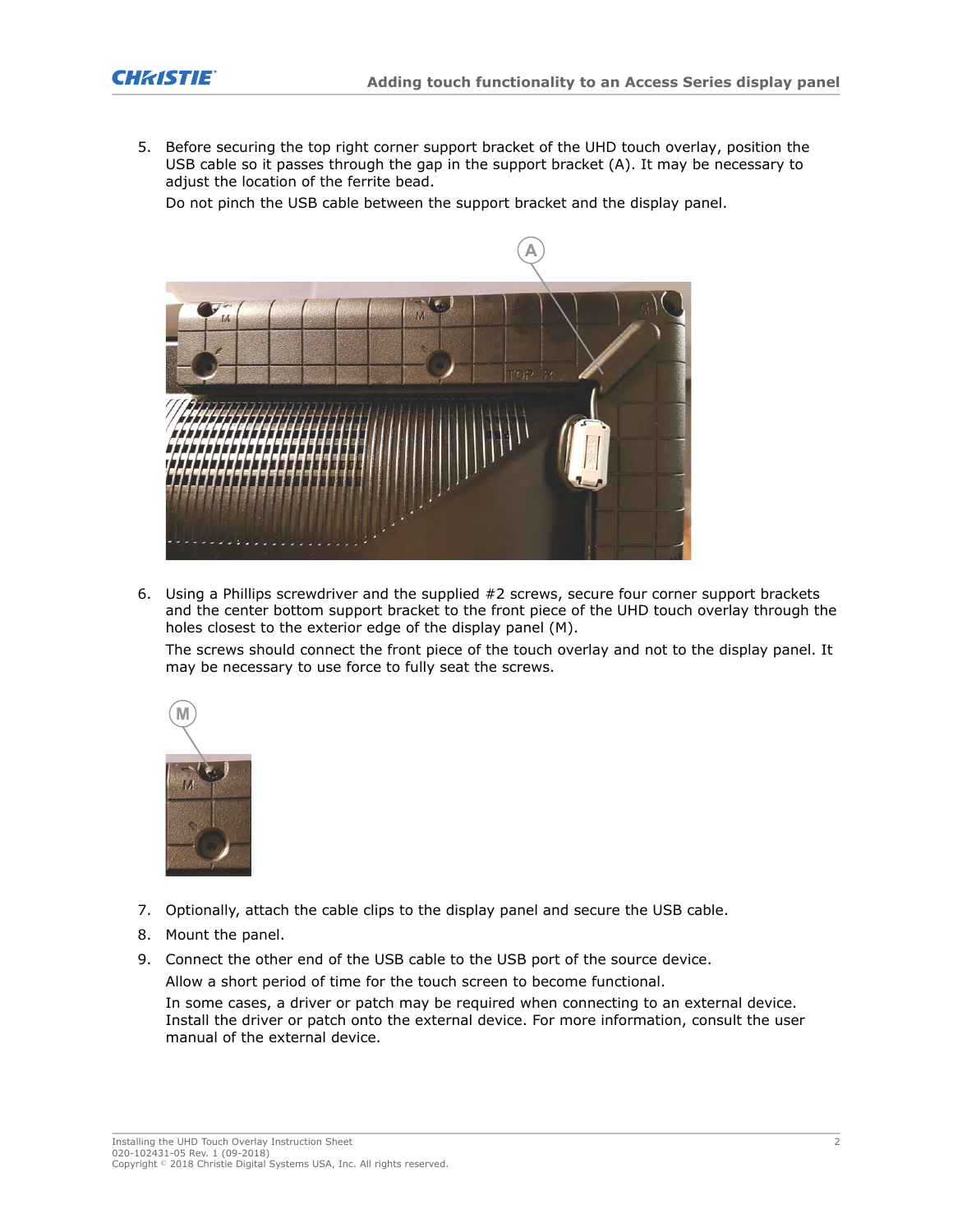5. Before securing the top right corner support bracket of the UHD touch overlay, position the USB cable so it passes through the gap in the support bracket (A). It may be necessary to adjust the location of the ferrite bead.

Do not pinch the USB cable between the support bracket and the display panel.



6. Using a Phillips screwdriver and the supplied #2 screws, secure four corner support brackets and the center bottom support bracket to the front piece of the UHD touch overlay through the holes closest to the exterior edge of the display panel (M).

The screws should connect the front piece of the touch overlay and not to the display panel. It may be necessary to use force to fully seat the screws.



- 7. Optionally, attach the cable clips to the display panel and secure the USB cable.
- 8. Mount the panel.
- 9. Connect the other end of the USB cable to the USB port of the source device.

Allow a short period of time for the touch screen to become functional.

In some cases, a driver or patch may be required when connecting to an external device. Install the driver or patch onto the external device. For more information, consult the user manual of the external device.